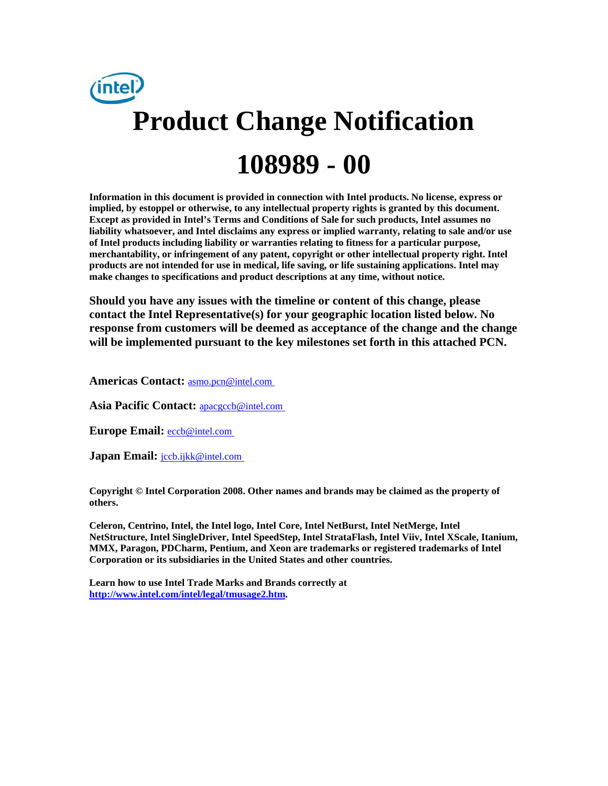

**Information in this document is provided in connection with Intel products. No license, express or implied, by estoppel or otherwise, to any intellectual property rights is granted by this document. Except as provided in Intel's Terms and Conditions of Sale for such products, Intel assumes no liability whatsoever, and Intel disclaims any express or implied warranty, relating to sale and/or use of Intel products including liability or warranties relating to fitness for a particular purpose, merchantability, or infringement of any patent, copyright or other intellectual property right. Intel products are not intended for use in medical, life saving, or life sustaining applications. Intel may make changes to specifications and product descriptions at any time, without notice.** 

**Should you have any issues with the timeline or content of this change, please contact the Intel Representative(s) for your geographic location listed below. No response from customers will be deemed as acceptance of the change and the change will be implemented pursuant to the key milestones set forth in this attached PCN.** 

**Americas Contact:** [asmo.pcn@intel.com](mailto:asmo.pcn@intel.com) 

**Asia Pacific Contact:** [apacgccb@intel.com](mailto:apacgccb@intel.com) 

Europe Email: **eccb@intel.com** 

**Japan Email:** *jccb.ijkk@intel.com* 

**Copyright © Intel Corporation 2008. Other names and brands may be claimed as the property of others.**

**Celeron, Centrino, Intel, the Intel logo, Intel Core, Intel NetBurst, Intel NetMerge, Intel NetStructure, Intel SingleDriver, Intel SpeedStep, Intel StrataFlash, Intel Viiv, Intel XScale, Itanium, MMX, Paragon, PDCharm, Pentium, and Xeon are trademarks or registered trademarks of Intel Corporation or its subsidiaries in the United States and other countries.** 

**Learn how to use Intel Trade Marks and Brands correctly at [http://www.intel.com/intel/legal/tmusage2.htm.](http://www.intel.com/intel/legal/tmusage2.htm)**